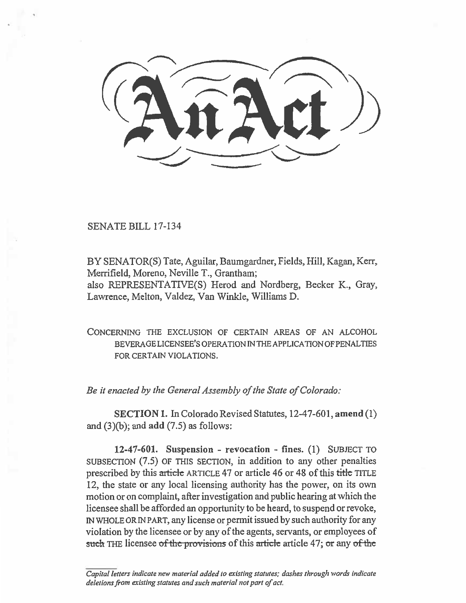**SENATE BILL 17-134** 

**BY SENATOR(S) Tate, Aguilar, Baumgardner, Fields, Hill, Kagan, Kerr, Merrifield, Moreno, Neville T., Grantham; also REPRESENTATIVE(S) Herod and Nordberg, Becker K., Gray, Lawrence, Melton, Valdez, Van Winkle, Williams D.** 

**CONCERNING THE EXCLUSION OF CERTAIN AREAS OF AN ALCOHOL BEVERAGE LICENSEE'S OPERATION IN THE APPLICATION OF PENALTIES FOR CERTAIN VIOLATIONS.** 

*Be it enacted by the General Assembly of the State of Colorado:* 

**SECTION 1. In Colorado Revised Statutes, 12-47-601, amend (1) and (3)(b); and add (7.5) as follows:** 

**12-47-601. Suspension - revocation - fines. (1) SUBJECT TO SUBSECTION (7.5) OF THIS SECTION, in addition to any other penalties prescribed by this article ARTICLE 47 or article 46 or 48 of this title TITLE 12, the state or any local licensing authority has the power, on its own motion or on complaint, after investigation and public hearing at which the licensee shall be afforded an opportunity to be heard, to suspend or revoke, IN WHOLE OR IN PART, any license or permit issued by such authority for any violation by the licensee or by any of the agents, servants, or employees of such** THE licensee of the provisions of this article article 47; or any of the

*Capital letters indicate new material added to existing statutes; dashes through words indicate deletions from existing statutes and such material not part of act.*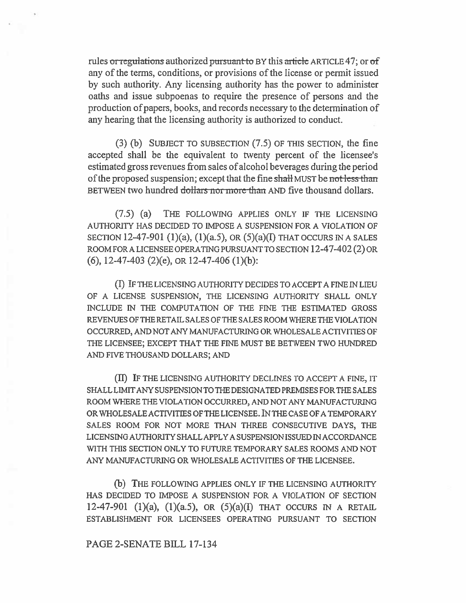rules or regulations authorized pursuant to BY this article ARTICLE 47; or of any of the terms, conditions, or provisions of the license or permit issued by such authority. Any licensing authority has the power to administer oaths and issue subpoenas to require the presence of persons and the production of papers, books, and records necessary to the determination of any hearing that the licensing authority is authorized to conduct.

(3) (b) SUBJECT TO SUBSECTION (7.5) OF THIS SECTION, the fine accepted shall be the equivalent to twenty percent of the licensee's estimated gross revenues from sales of alcohol beverages during the period of the proposed suspension; except that the fine shall MUST be not less than BETWEEN two hundred dollars nor more than AND five thousand dollars.

(7.5) (a) THE FOLLOWING APPLIES ONLY IF THE LICENSING AUTHORITY HAS DECIDED TO IMPOSE A SUSPENSION FOR A VIOLATION OF SECTION 12-47-901 (1)(a), (1)(a.5), OR (5)(a)(I) THAT OCCURS IN A SALES ROOM FOR A LICENSEE OPERATING PURSUANT TO SECTION 12-47-402 (2) OR (6), 12-47-403 (2)(e), OR 12-47-406 (1)(b):

(I) IF THE LICENSING AUTHORITY DECIDES TO ACCEPT A FINE IN LIEU OF A LICENSE SUSPENSION, THE LICENSING AUTHORITY SHALL ONLY INCLUDE IN THE COMPUTATION OF THE FINE THE ESTIMATED GROSS REVENUES OF THE RETAIL SALES OF THE SALES ROOM WHERE THE VIOLATION OCCURRED, AND NOT ANY MANUFACTURING OR WHOLESALE ACTIVITIES OF THE LICENSEE; EXCEPT THAT THE FINE MUST BE BETWEEN TWO HUNDRED AND FIVE THOUSAND DOLLARS; AND

(II) IF THE LICENSING AUTHORITY DECLINES TO ACCEPT A FINE, IT SHALL LIMIT ANY SUSPENSION TO THE DESIGNATED PREMISES FOR THE SALES ROOM WHERE THE VIOLATION OCCURRED, AND NOT ANY MANUFACTURING OR WHOLESALE ACTIVITIES OF THE LICENSEE. IN THE CASE OF A TEMPORARY SALES ROOM FOR NOT MORE THAN THREE CONSECUTIVE DAYS, THE LICENSING AUTHORITY SHALL APPLY A SUSPENSION ISSUED IN ACCORDANCE WITH THIS SECTION ONLY TO FUTURE TEMPORARY SALES ROOMS AND NOT ANY MANUFACTURING OR WHOLESALE ACTIVITIES OF THE LICENSEE.

(b) THE FOLLOWING APPLIES ONLY IF THE LICENSING AUTHORITY HAS DECIDED TO IMPOSE A SUSPENSION FOR A VIOLATION OF SECTION 12-47-901 (1)(a), (1)(a.5), OR (5)(a)(I) THAT OCCURS IN A RETAIL ESTABLISHMENT FOR LICENSEES OPERATING PURSUANT TO SECTION

## PAGE 2-SENATE BILL 17-134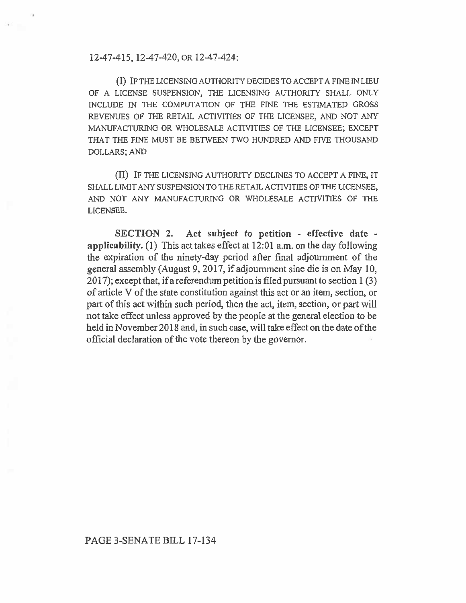12-47-415, 12-47-420, OR 12-47-424:

(I) IF THE LICENSING AUTHORITY DECIDES TO ACCEPT A FINE IN LIEU OF A LICENSE SUSPENSION, THE LICENSING AUTHORITY SHALL ONLY INCLUDE IN THE COMPUTATION OF THE FINE THE ESTIMATED GROSS REVENUES OF THE RETAIL ACTIVITIES OF THE LICENSEE, AND NOT ANY MANUFACTURING OR WHOLESALE ACTIVITIES OF THE LICENSEE; EXCEPT THAT THE FINE MUST BE BETWEEN TWO HUNDRED AND FIVE THOUSAND DOLLARS; AND

**(H)** IF THE LICENSING AUTHORITY DECLINES TO ACCEPT A FINE, IT SHALL LIMIT ANY SUSPENSION TO THE RETAIL ACTIVITIES OF THE LICENSEE, AND NOT ANY MANUFACTURING OR WHOLESALE ACTIVITIES OF THE LICENSEE.

**SECTION 2. Act subject to petition - effective date applicability.** (1) This act takes effect at 12:01 a.m. on the day following the expiration of the ninety-day period after final adjournment of the general assembly (August 9, 2017, if adjournment sine die is on May 10, 2017); except that, if a referendum petition is filed pursuant to section 1 (3) of article V of the state constitution against this act or an item, section, or part of this act within such period, then the act, item, section, or part will not take effect unless approved by the people at the general election to be held in November 2018 and, in such case, will take effect on the date of the official declaration of the vote thereon by the governor.